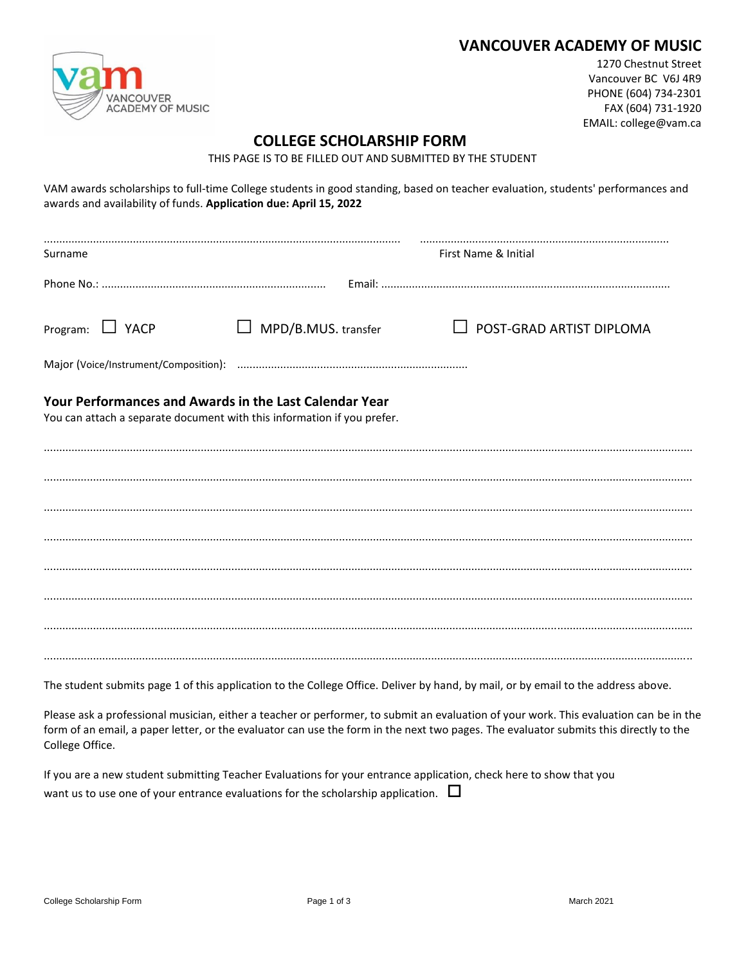## **VANCOUVER ACADEMY OF MUSIC**



1270 Chestnut Street Vancouver BC V6J 4R9 PHONE (604) 734-2301 FAX (604) 731-1920 EMAIL: college@vam.ca

## **COLLEGE SCHOLARSHIP FORM**

THIS PAGE IS TO BE FILLED OUT AND SUBMITTED BY THE STUDENT

| awards and availability of funds. Application due: April 15, 2022                                                                 |                            | VAM awards scholarships to full-time College students in good standing, based on teacher evaluation, students' performances and |  |  |
|-----------------------------------------------------------------------------------------------------------------------------------|----------------------------|---------------------------------------------------------------------------------------------------------------------------------|--|--|
| Surname                                                                                                                           | First Name & Initial       |                                                                                                                                 |  |  |
|                                                                                                                                   |                            |                                                                                                                                 |  |  |
| Program: $\Box$ YACP                                                                                                              | $\Box$ MPD/B.MUS. transfer | $\Box$ POST-GRAD ARTIST DIPLOMA                                                                                                 |  |  |
|                                                                                                                                   |                            |                                                                                                                                 |  |  |
| Your Performances and Awards in the Last Calendar Year<br>You can attach a separate document with this information if you prefer. |                            |                                                                                                                                 |  |  |
|                                                                                                                                   |                            |                                                                                                                                 |  |  |
|                                                                                                                                   |                            |                                                                                                                                 |  |  |
|                                                                                                                                   |                            |                                                                                                                                 |  |  |
|                                                                                                                                   |                            |                                                                                                                                 |  |  |
|                                                                                                                                   |                            |                                                                                                                                 |  |  |
|                                                                                                                                   |                            |                                                                                                                                 |  |  |
|                                                                                                                                   |                            |                                                                                                                                 |  |  |
|                                                                                                                                   |                            |                                                                                                                                 |  |  |

The student submits page 1 of this application to the College Office. Deliver by hand, by mail, or by email to the address above.

Please ask a professional musician, either a teacher or performer, to submit an evaluation of your work. This evaluation can be in the form of an email, a paper letter, or the evaluator can use the form in the next two pages. The evaluator submits this directly to the College Office.

| If you are a new student submitting Teacher Evaluations for your entrance application, check here to show that you |  |
|--------------------------------------------------------------------------------------------------------------------|--|
| want us to use one of your entrance evaluations for the scholarship application. $\Box$                            |  |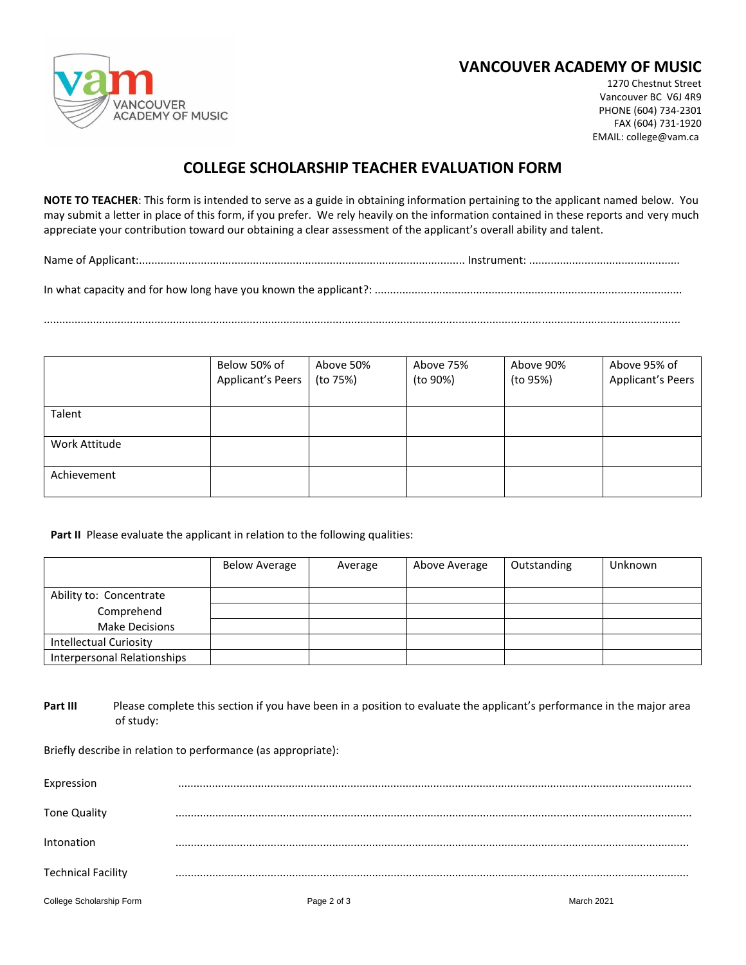

## **VANCOUVER ACADEMY OF MUSIC**

1270 Chestnut Street Vancouver BC V6J 4R9 PHONE (604) 734-2301 FAX (604) 731-1920 EMAIL: college@vam.ca

## **COLLEGE SCHOLARSHIP TEACHER EVALUATION FORM**

**NOTE TO TEACHER**: This form is intended to serve as a guide in obtaining information pertaining to the applicant named below. You may submit a letter in place of this form, if you prefer. We rely heavily on the information contained in these reports and very much appreciate your contribution toward our obtaining a clear assessment of the applicant's overall ability and talent.

Name of Applicant:.......................................................................................................... Instrument: .................................................

In what capacity and for how long have you known the applicant?: ....................................................................................................

...............................................................................................................................................................................................................

|               | Below 50% of<br><b>Applicant's Peers</b> | Above 50%<br>(to 75%) | Above 75%<br>(to 90%) | Above 90%<br>(to 95%) | Above 95% of<br><b>Applicant's Peers</b> |
|---------------|------------------------------------------|-----------------------|-----------------------|-----------------------|------------------------------------------|
| Talent        |                                          |                       |                       |                       |                                          |
| Work Attitude |                                          |                       |                       |                       |                                          |
| Achievement   |                                          |                       |                       |                       |                                          |

Part II Please evaluate the applicant in relation to the following qualities:

|                               | <b>Below Average</b> | Average | Above Average | Outstanding | Unknown |
|-------------------------------|----------------------|---------|---------------|-------------|---------|
| Ability to: Concentrate       |                      |         |               |             |         |
| Comprehend                    |                      |         |               |             |         |
| <b>Make Decisions</b>         |                      |         |               |             |         |
| <b>Intellectual Curiosity</b> |                      |         |               |             |         |
| Interpersonal Relationships   |                      |         |               |             |         |

**Part III** Please complete this section if you have been in a position to evaluate the applicant's performance in the major area of study:

Briefly describe in relation to performance (as appropriate):

| Expression                |             |            |
|---------------------------|-------------|------------|
| Tone Quality              |             |            |
| Intonation                |             |            |
| <b>Technical Facility</b> |             |            |
| College Scholarship Form  | Page 2 of 3 | March 2021 |